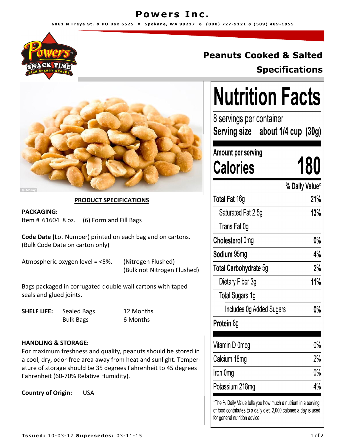## **Powers Inc.**

**6 0 6 1 N F r e y a S t . ◊ P O B o x 6 5 2 5 ◊ S p o k a n e , W A 9 9 2 1 7 ◊ ( 8 0 0 ) 7 2 7 -9 1 2 1 ◊ ( 5 0 9 ) 4 8 9 -1955**



# **Peanuts Cooked & Salted Specifications**



### **PRODUCT SPECIFICATIONS**

**PACKAGING:** Item # 61604 8 oz. (6) Form and Fill Bags

**Code Date (**Lot Number) printed on each bag and on cartons. (Bulk Code Date on carton only)

Atmospheric oxygen level = <5%. (Nitrogen Flushed)

(Bulk not Nitrogen Flushed)

Bags packaged in corrugated double wall cartons with taped seals and glued joints.

**SHELF LIFE:** Sealed Bags 12 Months

Bulk Bags 6 Months

### **HANDLING & STORAGE:**

For maximum freshness and quality, peanuts should be stored in a cool, dry, odor-free area away from heat and sunlight. Temperature of storage should be 35 degrees Fahrenheit to 45 degrees Fahrenheit (60-70% Relative Humidity).

**Country of Origin:** USA

| Nutrition Facts                                               |                |     |
|---------------------------------------------------------------|----------------|-----|
| 8 servings per container<br>Serving size about 1/4 cup(30g)   |                |     |
| Amount per serving<br><b>Calories</b>                         |                | 180 |
|                                                               | % Daily Value* |     |
| Total Fat 16g                                                 |                | 21% |
| Saturated Fat 2.5g                                            |                | 13% |
| Trans Fat 0g                                                  |                |     |
| Cholesterol 0mg                                               |                | 0%  |
| Sodium 95mg                                                   |                | 4%  |
| Total Carbohydrate 5g                                         |                | 2%  |
| Dietary Fiber 3g                                              |                | 11% |
| Total Sugars 1g                                               |                |     |
| Includes Og Added Sugars                                      |                | 0%  |
| Protein 8g                                                    |                |     |
| Vitamin D 0mcg                                                |                | 0%  |
| Calcium 18mg                                                  |                | 2%  |
| Iron Omg                                                      |                | 0%  |
| Potassium 218mg                                               |                | 4%  |
| *The % Daily Value tells you how much a nutrient in a serving |                |     |

of food contributes to a daily diet. 2,000 calories a day is used for general nutrition advice.